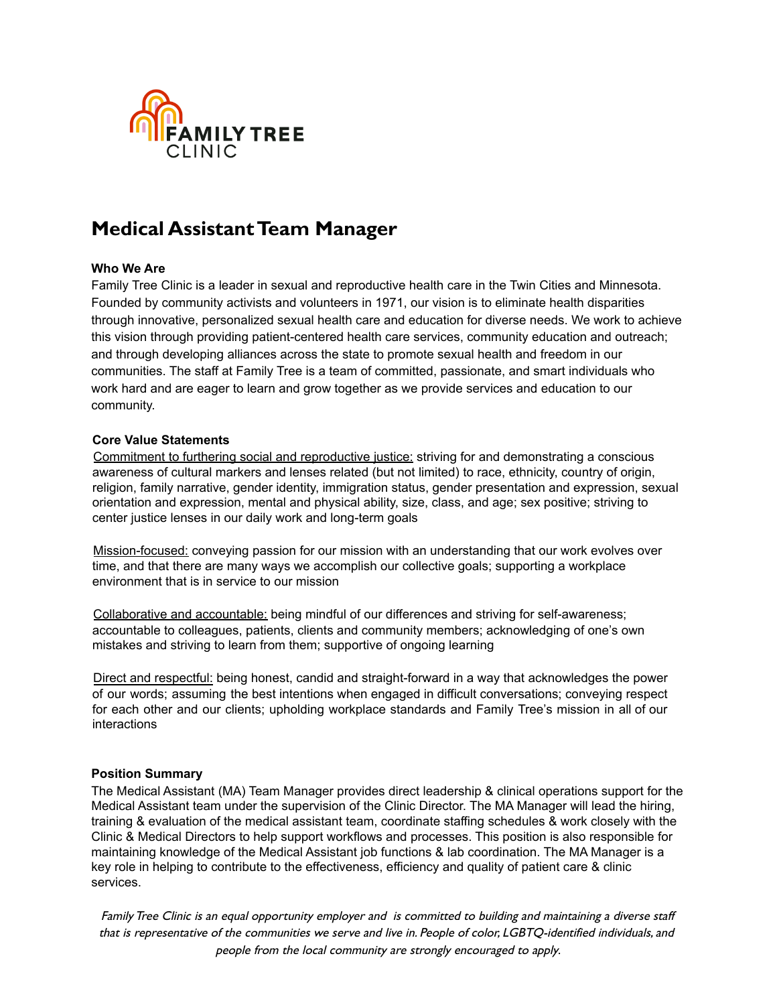

### **Who We Are**

Family Tree Clinic is a leader in sexual and reproductive health care in the Twin Cities and Minnesota. Founded by community activists and volunteers in 1971, our vision is to eliminate health disparities through innovative, personalized sexual health care and education for diverse needs. We work to achieve this vision through providing patient-centered health care services, community education and outreach; and through developing alliances across the state to promote sexual health and freedom in our communities. The staff at Family Tree is a team of committed, passionate, and smart individuals who work hard and are eager to learn and grow together as we provide services and education to our community.

#### **Core Value Statements**

Commitment to furthering social and reproductive justice: striving for and demonstrating a conscious awareness of cultural markers and lenses related (but not limited) to race, ethnicity, country of origin, religion, family narrative, gender identity, immigration status, gender presentation and expression, sexual orientation and expression, mental and physical ability, size, class, and age; sex positive; striving to center justice lenses in our daily work and long-term goals

Mission-focused: conveying passion for our mission with an understanding that our work evolves over time, and that there are many ways we accomplish our collective goals; supporting a workplace environment that is in service to our mission

Collaborative and accountable: being mindful of our differences and striving for self-awareness; accountable to colleagues, patients, clients and community members; acknowledging of one's own mistakes and striving to learn from them; supportive of ongoing learning

Direct and respectful: being honest, candid and straight-forward in a way that acknowledges the power of our words; assuming the best intentions when engaged in difficult conversations; conveying respect for each other and our clients; upholding workplace standards and Family Tree's mission in all of our interactions

#### **Position Summary**

The Medical Assistant (MA) Team Manager provides direct leadership & clinical operations support for the Medical Assistant team under the supervision of the Clinic Director. The MA Manager will lead the hiring, training & evaluation of the medical assistant team, coordinate staffing schedules & work closely with the Clinic & Medical Directors to help support workflows and processes. This position is also responsible for maintaining knowledge of the Medical Assistant job functions & lab coordination. The MA Manager is a key role in helping to contribute to the effectiveness, efficiency and quality of patient care & clinic services.

FamilyTree Clinic is an equal opportunity employer and is committed to building and maintaining <sup>a</sup> diverse staff that is representative of the communities we serve and live in. People of color, LGBTQ-identified individuals, and people from the local community are strongly encouraged to apply.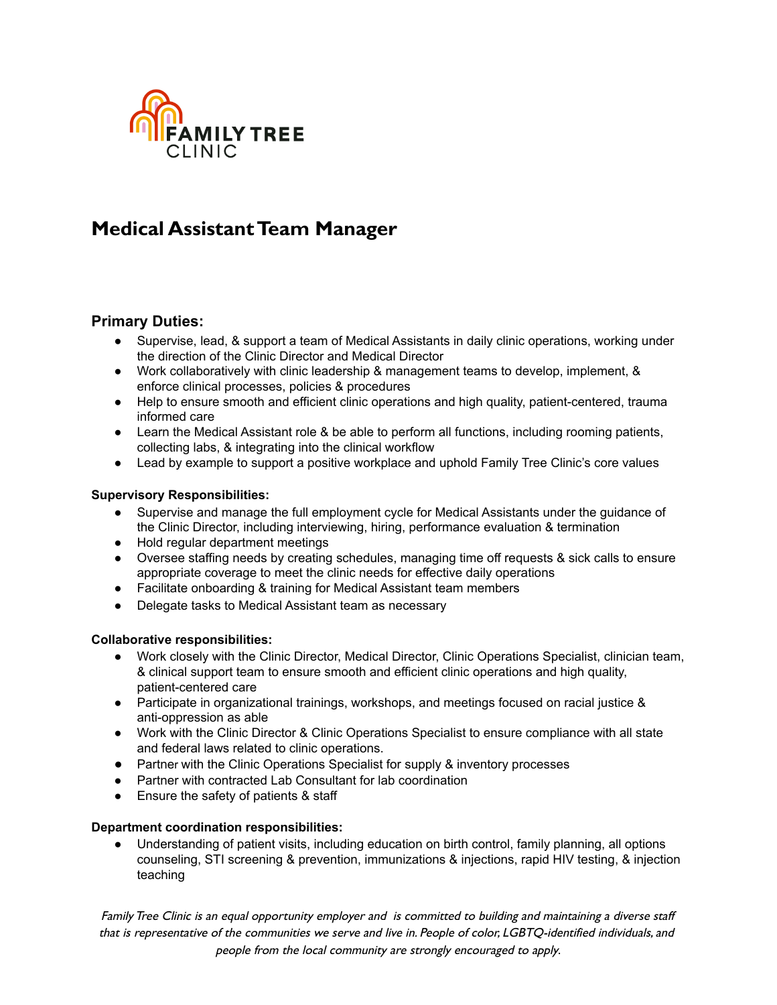

### **Primary Duties:**

- Supervise, lead, & support a team of Medical Assistants in daily clinic operations, working under the direction of the Clinic Director and Medical Director
- Work collaboratively with clinic leadership & management teams to develop, implement, & enforce clinical processes, policies & procedures
- Help to ensure smooth and efficient clinic operations and high quality, patient-centered, trauma informed care
- Learn the Medical Assistant role & be able to perform all functions, including rooming patients, collecting labs, & integrating into the clinical workflow
- **●** Lead by example to support a positive workplace and uphold Family Tree Clinic's core values

### **Supervisory Responsibilities:**

- Supervise and manage the full employment cycle for Medical Assistants under the guidance of the Clinic Director, including interviewing, hiring, performance evaluation & termination
- Hold regular department meetings
- Oversee staffing needs by creating schedules, managing time off requests & sick calls to ensure appropriate coverage to meet the clinic needs for effective daily operations
- Facilitate onboarding & training for Medical Assistant team members
- Delegate tasks to Medical Assistant team as necessary

### **Collaborative responsibilities:**

- Work closely with the Clinic Director, Medical Director, Clinic Operations Specialist, clinician team, & clinical support team to ensure smooth and efficient clinic operations and high quality, patient-centered care
- Participate in organizational trainings, workshops, and meetings focused on racial justice & anti-oppression as able
- Work with the Clinic Director & Clinic Operations Specialist to ensure compliance with all state and federal laws related to clinic operations.
- Partner with the Clinic Operations Specialist for supply & inventory processes
- Partner with contracted Lab Consultant for lab coordination
- Ensure the safety of patients & staff

#### **Department coordination responsibilities:**

Understanding of patient visits, including education on birth control, family planning, all options counseling, STI screening & prevention, immunizations & injections, rapid HIV testing, & injection teaching

FamilyTree Clinic is an equal opportunity employer and is committed to building and maintaining <sup>a</sup> diverse staff that is representative of the communities we serve and live in. People of color, LGBTQ-identified individuals, and people from the local community are strongly encouraged to apply.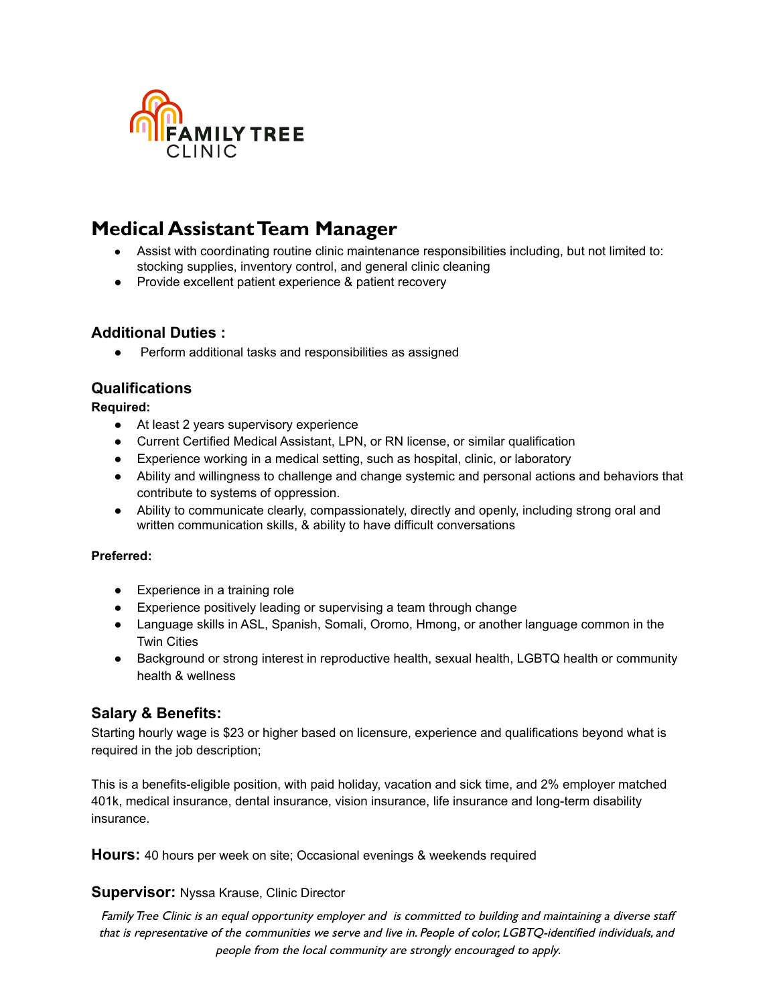

- Assist with coordinating routine clinic maintenance responsibilities including, but not limited to: stocking supplies, inventory control, and general clinic cleaning
- Provide excellent patient experience & patient recovery

### **Additional Duties :**

● Perform additional tasks and responsibilities as assigned

## **Qualifications**

**Required:**

- At least 2 years supervisory experience
- Current Certified Medical Assistant, LPN, or RN license, or similar qualification
- Experience working in a medical setting, such as hospital, clinic, or laboratory
- Ability and willingness to challenge and change systemic and personal actions and behaviors that contribute to systems of oppression.
- Ability to communicate clearly, compassionately, directly and openly, including strong oral and written communication skills, & ability to have difficult conversations

### **Preferred:**

- Experience in a training role
- Experience positively leading or supervising a team through change
- Language skills in ASL, Spanish, Somali, Oromo, Hmong, or another language common in the Twin Cities
- Background or strong interest in reproductive health, sexual health, LGBTQ health or community health & wellness

### **Salary & Benefits:**

Starting hourly wage is \$23 or higher based on licensure, experience and qualifications beyond what is required in the job description;

This is a benefits-eligible position, with paid holiday, vacation and sick time, and 2% employer matched 401k, medical insurance, dental insurance, vision insurance, life insurance and long-term disability insurance.

**Hours:** 40 hours per week on site; Occasional evenings & weekends required

### **Supervisor:** Nyssa Krause, Clinic Director

FamilyTree Clinic is an equal opportunity employer and is committed to building and maintaining <sup>a</sup> diverse staff that is representative of the communities we serve and live in. People of color, LGBTQ-identified individuals, and people from the local community are strongly encouraged to apply.